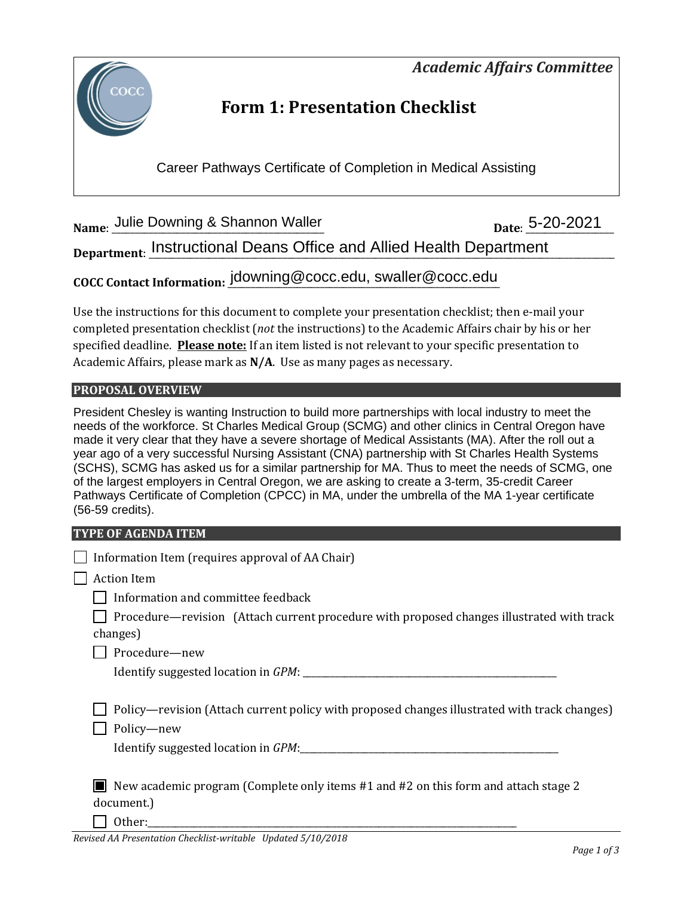*Academic Affairs Committee* 



## **Form 1: Presentation Checklist**

Career Pathways Certificate of Completion in Medical Assisting

**Name:** Julie Downing & Shannon Waller **1996 Date:** 5-20-2021

Department: **Instructional Deans Office and Allied Health Department** 

**COCC Contact Information:** \_\_\_\_\_\_\_\_\_\_\_\_\_\_\_\_\_\_\_\_\_\_\_\_\_\_\_\_\_\_\_\_\_\_\_\_\_\_\_\_\_\_\_\_\_\_\_\_\_\_\_\_\_\_\_\_\_\_\_ jdowning@cocc.edu, swaller@cocc.edu

Use the instructions for this document to complete your presentation checklist; then e-mail your completed presentation checklist (*not* the instructions) to the Academic Affairs chair by his or her specified deadline. **Please note:** If an item listed is not relevant to your specific presentation to Academic Affairs, please mark as **N/A**. Use as many pages as necessary.

#### **PROPOSAL OVERVIEW**

President Chesley is wanting Instruction to build more partnerships with local industry to meet the needs of the workforce. St Charles Medical Group (SCMG) and other clinics in Central Oregon have made it very clear that they have a severe shortage of Medical Assistants (MA). After the roll out a year ago of a very successful Nursing Assistant (CNA) partnership with St Charles Health Systems (SCHS), SCMG has asked us for a similar partnership for MA. Thus to meet the needs of SCMG, one of the largest employers in Central Oregon, we are asking to create a 3-term, 35-credit Career Pathways Certificate of Completion (CPCC) in MA, under the umbrella of the MA 1-year certificate (56-59 credits).

#### **TYPE OF AGENDA ITEM**

| Information Item (requires approval of AA Chair)                                                           |
|------------------------------------------------------------------------------------------------------------|
| <b>Action Item</b>                                                                                         |
| Information and committee feedback                                                                         |
| Procedure—revision (Attach current procedure with proposed changes illustrated with track<br>changes)      |
| Procedure-new                                                                                              |
| Identify suggested location in GPM:                                                                        |
| Policy—revision (Attach current policy with proposed changes illustrated with track changes)<br>Policy-new |
| New academic program (Complete only items #1 and #2 on this form and attach stage 2<br>document.)          |

Other:\_\_\_\_\_\_\_\_\_\_\_\_\_\_\_\_\_\_\_\_\_\_\_\_\_\_\_\_\_\_\_\_\_\_\_\_\_\_\_\_\_\_\_\_\_\_\_\_\_\_\_\_\_\_\_\_\_\_\_\_\_\_\_\_\_\_\_\_\_\_\_\_\_\_\_\_\_\_\_\_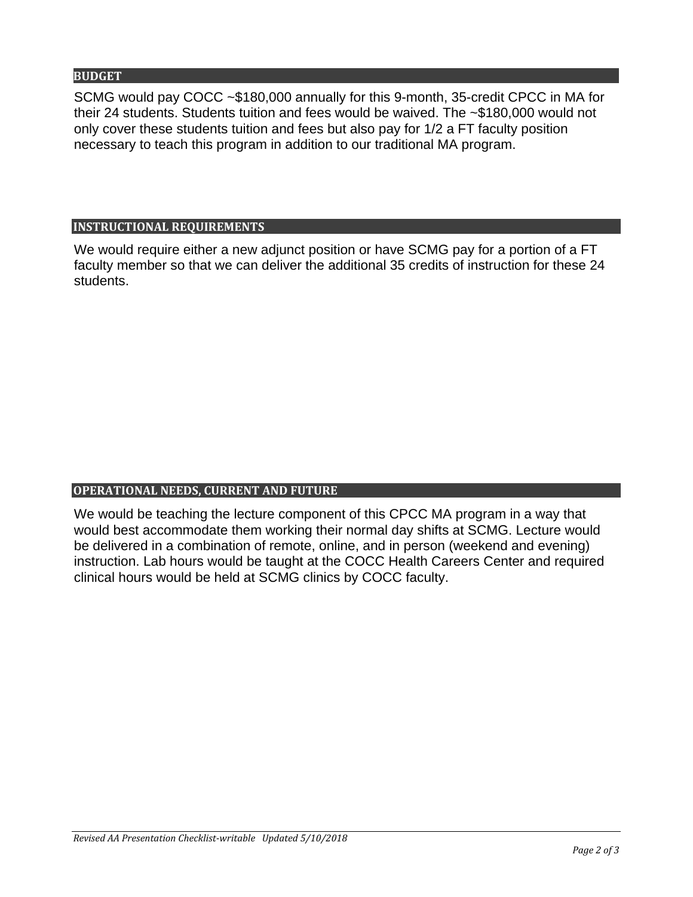#### **BUDGET**

SCMG would pay COCC ~\$180,000 annually for this 9-month, 35-credit CPCC in MA for their 24 students. Students tuition and fees would be waived. The ~\$180,000 would not only cover these students tuition and fees but also pay for 1/2 a FT faculty position necessary to teach this program in addition to our traditional MA program.

#### **INSTRUCTIONAL REQUIREMENTS**

We would require either a new adjunct position or have SCMG pay for a portion of a FT faculty member so that we can deliver the additional 35 credits of instruction for these 24 students.

#### **OPERATIONAL NEEDS, CURRENT AND FUTURE**

We would be teaching the lecture component of this CPCC MA program in a way that would best accommodate them working their normal day shifts at SCMG. Lecture would be delivered in a combination of remote, online, and in person (weekend and evening) instruction. Lab hours would be taught at the COCC Health Careers Center and required clinical hours would be held at SCMG clinics by COCC faculty.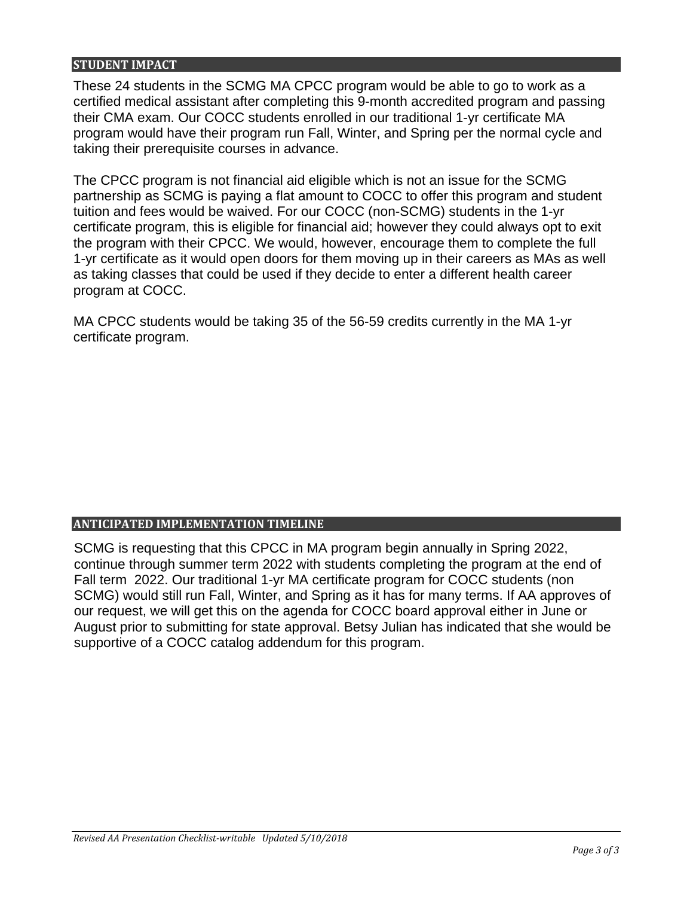#### **STUDENT IMPACT**

These 24 students in the SCMG MA CPCC program would be able to go to work as a certified medical assistant after completing this 9-month accredited program and passing their CMA exam. Our COCC students enrolled in our traditional 1-yr certificate MA program would have their program run Fall, Winter, and Spring per the normal cycle and taking their prerequisite courses in advance.

The CPCC program is not financial aid eligible which is not an issue for the SCMG partnership as SCMG is paying a flat amount to COCC to offer this program and student tuition and fees would be waived. For our COCC (non-SCMG) students in the 1-yr certificate program, this is eligible for financial aid; however they could always opt to exit the program with their CPCC. We would, however, encourage them to complete the full 1-yr certificate as it would open doors for them moving up in their careers as MAs as well as taking classes that could be used if they decide to enter a different health career program at COCC.

MA CPCC students would be taking 35 of the 56-59 credits currently in the MA 1-yr certificate program.

#### **ANTICIPATED IMPLEMENTATION TIMELINE**

SCMG is requesting that this CPCC in MA program begin annually in Spring 2022, continue through summer term 2022 with students completing the program at the end of Fall term 2022. Our traditional 1-yr MA certificate program for COCC students (non SCMG) would still run Fall, Winter, and Spring as it has for many terms. If AA approves of our request, we will get this on the agenda for COCC board approval either in June or August prior to submitting for state approval. Betsy Julian has indicated that she would be supportive of a COCC catalog addendum for this program.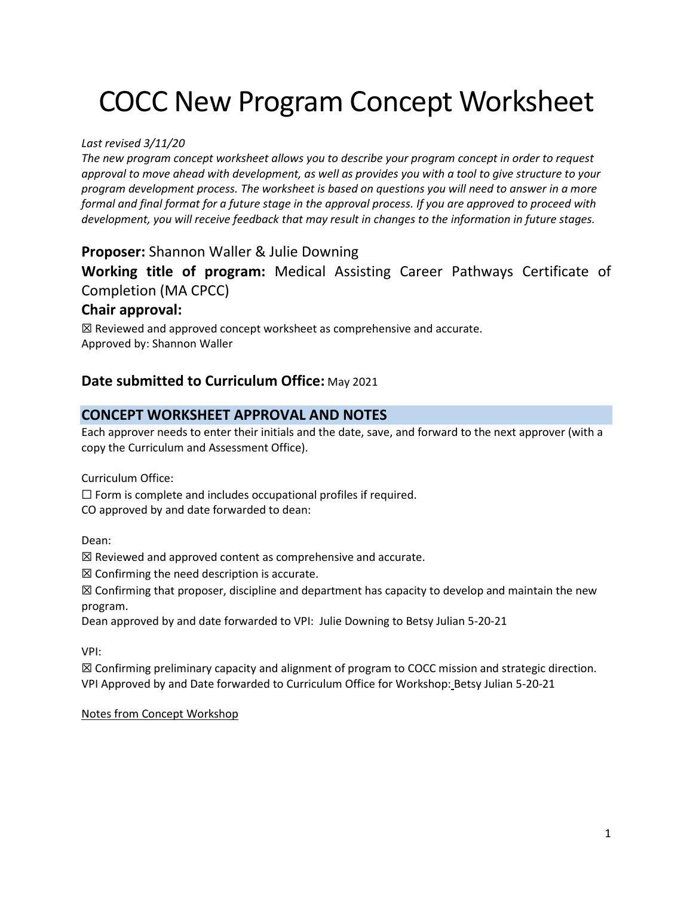# COCC New Program Concept Worksheet

#### *Last revised 3/11/20*

*The new program concept worksheet allows you to describe your program concept in order to request approval to move ahead with development, as well as provides you with a tool to give structure to your program development process. The worksheet is based on questions you will need to answer in a more formal and final format for a future stage in the approval process. If you are approved to proceed with development, you will receive feedback that may result in changes to the information in future stages.*

#### **Proposer:** Shannon Waller & Julie Downing

**Working title of program:** Medical Assisting Career Pathways Certificate of Completion (MA CPCC)

#### **Chair approval:**

☒ Reviewed and approved concept worksheet as comprehensive and accurate. Approved by: Shannon Waller

#### **Date submitted to Curriculum Office:** May 2021

### **CONCEPT WORKSHEET APPROVAL AND NOTES**

Each approver needs to enter their initials and the date, save, and forward to the next approver (with a copy the Curriculum and Assessment Office).

Curriculum Office:

 $\Box$  Form is complete and includes occupational profiles if required.

CO approved by and date forwarded to dean:

Dean:

☒ Reviewed and approved content as comprehensive and accurate.

 $\boxtimes$  Confirming the need description is accurate.

 $\boxtimes$  Confirming that proposer, discipline and department has capacity to develop and maintain the new program.

Dean approved by and date forwarded to VPI: Julie Downing to Betsy Julian 5-20-21

VPI:

☒ Confirming preliminary capacity and alignment of program to COCC mission and strategic direction. VPI Approved by and Date forwarded to Curriculum Office for Workshop: Betsy Julian 5-20-21

Notes from Concept Workshop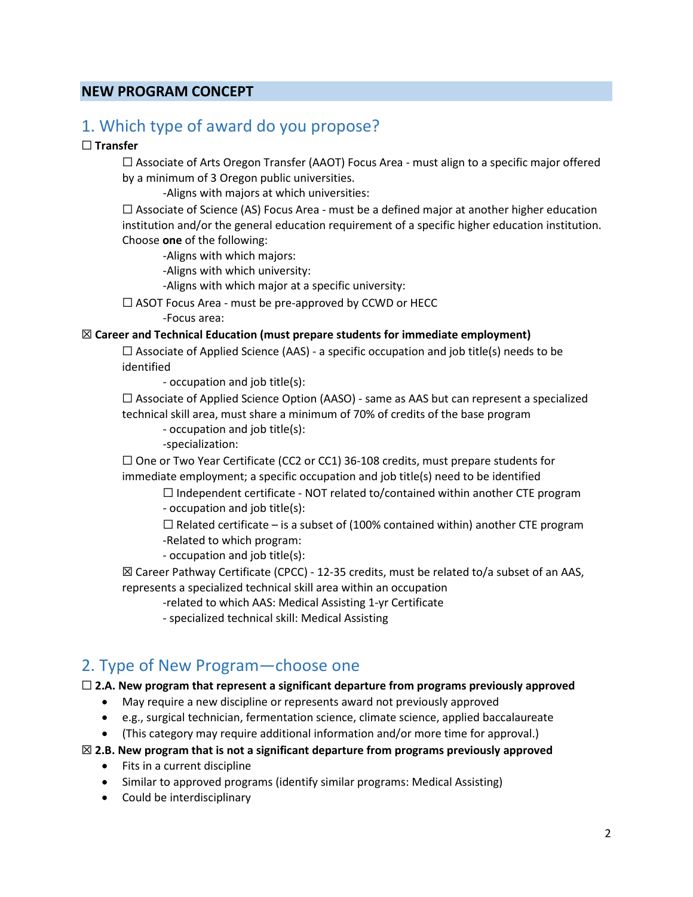#### **NEW PROGRAM CONCEPT**

### 1. Which type of award do you propose?

#### ☐ **Transfer**

 $\Box$  Associate of Arts Oregon Transfer (AAOT) Focus Area - must align to a specific major offered by a minimum of 3 Oregon public universities.

-Aligns with majors at which universities:

 $\Box$  Associate of Science (AS) Focus Area - must be a defined major at another higher education institution and/or the general education requirement of a specific higher education institution. Choose **one** of the following:

-Aligns with which majors:

-Aligns with which university:

-Aligns with which major at a specific university:

☐ ASOT Focus Area - must be pre-approved by CCWD or HECC

-Focus area:

#### ☒ **Career and Technical Education (must prepare students for immediate employment)**

 $\Box$  Associate of Applied Science (AAS) - a specific occupation and job title(s) needs to be identified

- occupation and job title(s):

☐ Associate of Applied Science Option (AASO) - same as AAS but can represent a specialized technical skill area, must share a minimum of 70% of credits of the base program

- occupation and job title(s):

-specialization:

☐ One or Two Year Certificate (CC2 or CC1) 36-108 credits, must prepare students for immediate employment; a specific occupation and job title(s) need to be identified

 $\Box$  Independent certificate - NOT related to/contained within another CTE program - occupation and job title(s):

 $\Box$  Related certificate – is a subset of (100% contained within) another CTE program -Related to which program:

- occupation and job title(s):

☒ Career Pathway Certificate (CPCC) - 12-35 credits, must be related to/a subset of an AAS, represents a specialized technical skill area within an occupation

-related to which AAS: Medical Assisting 1-yr Certificate

- specialized technical skill: Medical Assisting

## 2. Type of New Program—choose one

#### ☐ **2.A. New program that represent a significant departure from programs previously approved**

- May require a new discipline or represents award not previously approved
- e.g., surgical technician, fermentation science, climate science, applied baccalaureate
- (This category may require additional information and/or more time for approval.)

#### ☒ **2.B. New program that is not a significant departure from programs previously approved**

- Fits in a current discipline
- Similar to approved programs (identify similar programs: Medical Assisting)
- Could be interdisciplinary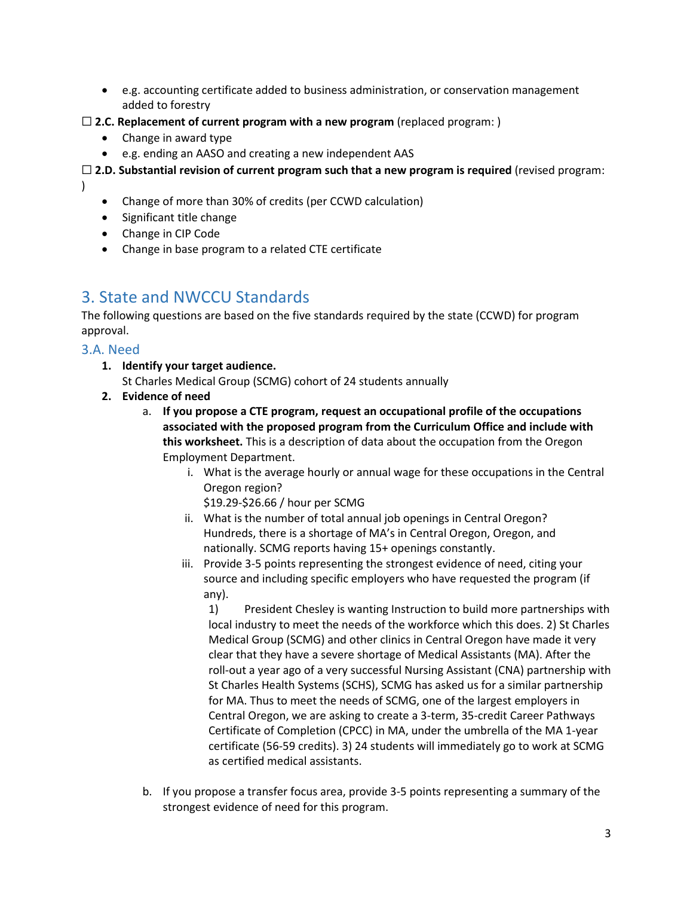- e.g. accounting certificate added to business administration, or conservation management added to forestry
- □ **2.C. Replacement of current program with a new program** (replaced program:)
	- Change in award type
	- e.g. ending an AASO and creating a new independent AAS

☐ **2.D. Substantial revision of current program such that a new program is required** (revised program: )

- Change of more than 30% of credits (per CCWD calculation)
- Significant title change
- Change in CIP Code
- Change in base program to a related CTE certificate

## 3. State and NWCCU Standards

The following questions are based on the five standards required by the state (CCWD) for program approval.

#### 3.A. Need

- **1. Identify your target audience.** St Charles Medical Group (SCMG) cohort of 24 students annually
- **2. Evidence of need**
	- a. **If you propose a CTE program, request an occupational profile of the occupations associated with the proposed program from the Curriculum Office and include with this worksheet.** This is a description of data about the occupation from the Oregon Employment Department.
		- i. What is the average hourly or annual wage for these occupations in the Central Oregon region?
			- \$19.29-\$26.66 / hour per SCMG
		- ii. What is the number of total annual job openings in Central Oregon? Hundreds, there is a shortage of MA's in Central Oregon, Oregon, and nationally. SCMG reports having 15+ openings constantly.
		- iii. Provide 3-5 points representing the strongest evidence of need, citing your source and including specific employers who have requested the program (if any).

1) President Chesley is wanting Instruction to build more partnerships with local industry to meet the needs of the workforce which this does. 2) St Charles Medical Group (SCMG) and other clinics in Central Oregon have made it very clear that they have a severe shortage of Medical Assistants (MA). After the roll-out a year ago of a very successful Nursing Assistant (CNA) partnership with St Charles Health Systems (SCHS), SCMG has asked us for a similar partnership for MA. Thus to meet the needs of SCMG, one of the largest employers in Central Oregon, we are asking to create a 3-term, 35-credit Career Pathways Certificate of Completion (CPCC) in MA, under the umbrella of the MA 1-year certificate (56-59 credits). 3) 24 students will immediately go to work at SCMG as certified medical assistants.

b. If you propose a transfer focus area, provide 3-5 points representing a summary of the strongest evidence of need for this program.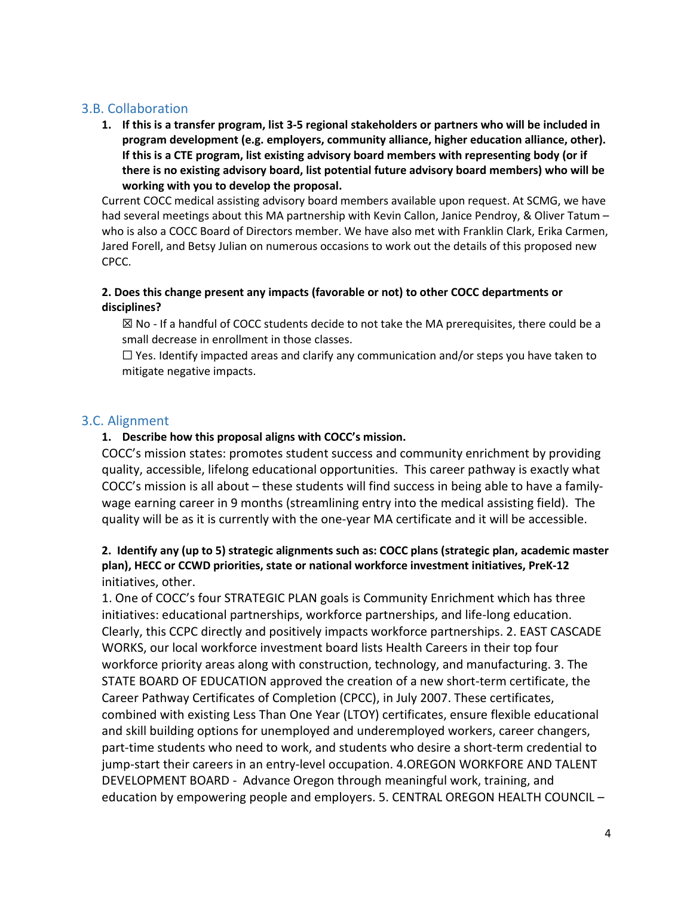#### 3.B. Collaboration

**1. If this is a transfer program, list 3-5 regional stakeholders or partners who will be included in program development (e.g. employers, community alliance, higher education alliance, other). If this is a CTE program, list existing advisory board members with representing body (or if there is no existing advisory board, list potential future advisory board members) who will be working with you to develop the proposal.** 

Current COCC medical assisting advisory board members available upon request. At SCMG, we have had several meetings about this MA partnership with Kevin Callon, Janice Pendroy, & Oliver Tatum who is also a COCC Board of Directors member. We have also met with Franklin Clark, Erika Carmen, Jared Forell, and Betsy Julian on numerous occasions to work out the details of this proposed new CPCC.

#### **2. Does this change present any impacts (favorable or not) to other COCC departments or disciplines?**

 $\boxtimes$  No - If a handful of COCC students decide to not take the MA prerequisites, there could be a small decrease in enrollment in those classes.

 $\Box$  Yes. Identify impacted areas and clarify any communication and/or steps you have taken to mitigate negative impacts.

#### 3.C. Alignment

#### **1. Describe how this proposal aligns with COCC's mission.**

COCC's mission states: promotes student success and community enrichment by providing quality, accessible, lifelong educational opportunities. This career pathway is exactly what COCC's mission is all about – these students will find success in being able to have a familywage earning career in 9 months (streamlining entry into the medical assisting field). The quality will be as it is currently with the one-year MA certificate and it will be accessible.

#### **2. Identify any (up to 5) strategic alignments such as: COCC plans (strategic plan, academic master plan), HECC or CCWD priorities, state or national workforce investment initiatives, PreK-12**  initiatives, other.

1. One of COCC's four STRATEGIC PLAN goals is Community Enrichment which has three initiatives: educational partnerships, workforce partnerships, and life-long education. Clearly, this CCPC directly and positively impacts workforce partnerships. 2. EAST CASCADE WORKS, our local workforce investment board lists Health Careers in their top four workforce priority areas along with construction, technology, and manufacturing. 3. The STATE BOARD OF EDUCATION approved the creation of a new short-term certificate, the Career Pathway Certificates of Completion (CPCC), in July 2007. These certificates, combined with existing Less Than One Year (LTOY) certificates, ensure flexible educational and skill building options for unemployed and underemployed workers, career changers, part-time students who need to work, and students who desire a short-term credential to jump-start their careers in an entry-level occupation. 4.OREGON WORKFORE AND TALENT DEVELOPMENT BOARD - Advance Oregon through meaningful work, training, and education by empowering people and employers. 5. CENTRAL OREGON HEALTH COUNCIL –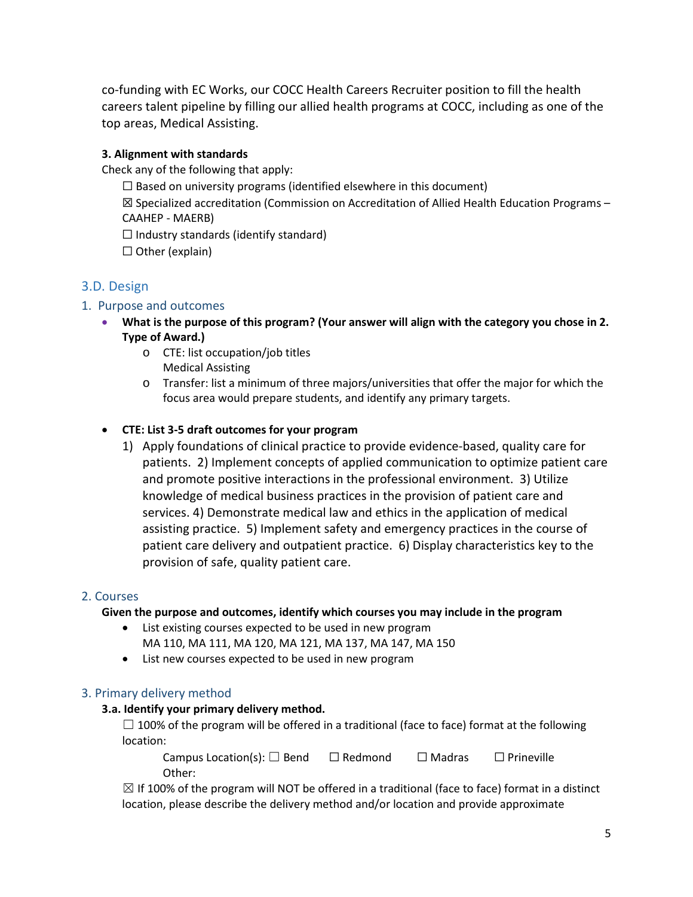co-funding with EC Works, our COCC Health Careers Recruiter position to fill the health careers talent pipeline by filling our allied health programs at COCC, including as one of the top areas, Medical Assisting.

#### **3. Alignment with standards**

Check any of the following that apply:

- $\Box$  Based on university programs (identified elsewhere in this document)
- $\boxtimes$  Specialized accreditation (Commission on Accreditation of Allied Health Education Programs CAAHEP - MAERB)
- $\Box$  Industry standards (identify standard)
- □ Other (explain)

#### 3.D. Design

#### 1. Purpose and outcomes

- **What is the purpose of this program? (Your answer will align with the category you chose in 2. Type of Award.)**
	- o CTE: list occupation/job titles Medical Assisting
	- o Transfer: list a minimum of three majors/universities that offer the major for which the focus area would prepare students, and identify any primary targets.

#### • **CTE: List 3-5 draft outcomes for your program**

1) Apply foundations of clinical practice to provide evidence-based, quality care for patients. 2) Implement concepts of applied communication to optimize patient care and promote positive interactions in the professional environment. 3) Utilize knowledge of medical business practices in the provision of patient care and services. 4) Demonstrate medical law and ethics in the application of medical assisting practice. 5) Implement safety and emergency practices in the course of patient care delivery and outpatient practice. 6) Display characteristics key to the provision of safe, quality patient care.

#### 2. Courses

#### **Given the purpose and outcomes, identify which courses you may include in the program**

- List existing courses expected to be used in new program MA 110, MA 111, MA 120, MA 121, MA 137, MA 147, MA 150
- List new courses expected to be used in new program

#### 3. Primary delivery method

#### **3.a. Identify your primary delivery method.**

 $\Box$  100% of the program will be offered in a traditional (face to face) format at the following location:

Campus Location(s):  $\Box$  Bend  $\Box$  Redmond  $\Box$  Madras  $\Box$  Prineville Other:

 $\boxtimes$  If 100% of the program will NOT be offered in a traditional (face to face) format in a distinct location, please describe the delivery method and/or location and provide approximate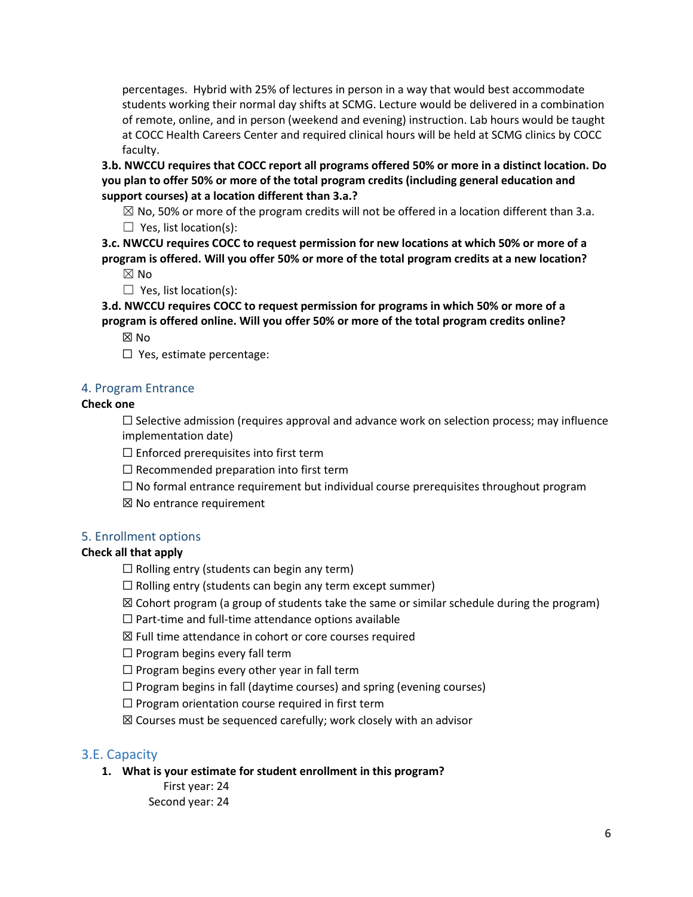percentages. Hybrid with 25% of lectures in person in a way that would best accommodate students working their normal day shifts at SCMG. Lecture would be delivered in a combination of remote, online, and in person (weekend and evening) instruction. Lab hours would be taught at COCC Health Careers Center and required clinical hours will be held at SCMG clinics by COCC faculty.

**3.b. NWCCU requires that COCC report all programs offered 50% or more in a distinct location. Do you plan to offer 50% or more of the total program credits (including general education and support courses) at a location different than 3.a.?**

 $\boxtimes$  No, 50% or more of the program credits will not be offered in a location different than 3.a.  $\Box$  Yes, list location(s):

**3.c. NWCCU requires COCC to request permission for new locations at which 50% or more of a program is offered. Will you offer 50% or more of the total program credits at a new location?**  ☒ No

 $\Box$  Yes, list location(s):

**3.d. NWCCU requires COCC to request permission for programs in which 50% or more of a program is offered online. Will you offer 50% or more of the total program credits online?** 

☒ No

☐ Yes, estimate percentage:

#### 4. Program Entrance

#### **Check one**

 $\Box$  Selective admission (requires approval and advance work on selection process; may influence implementation date)

 $\Box$  Enforced prerequisites into first term

 $\Box$  Recommended preparation into first term

 $\Box$  No formal entrance requirement but individual course prerequisites throughout program

☒ No entrance requirement

#### 5. Enrollment options

#### **Check all that apply**

 $\Box$  Rolling entry (students can begin any term)

 $\Box$  Rolling entry (students can begin any term except summer)

 $\boxtimes$  Cohort program (a group of students take the same or similar schedule during the program)

 $\Box$  Part-time and full-time attendance options available

☒ Full time attendance in cohort or core courses required

 $\Box$  Program begins every fall term

 $\Box$  Program begins every other year in fall term

 $\Box$  Program begins in fall (daytime courses) and spring (evening courses)

 $\Box$  Program orientation course required in first term

☒ Courses must be sequenced carefully; work closely with an advisor

#### 3.E. Capacity

#### **1. What is your estimate for student enrollment in this program?**

First year: 24 Second year: 24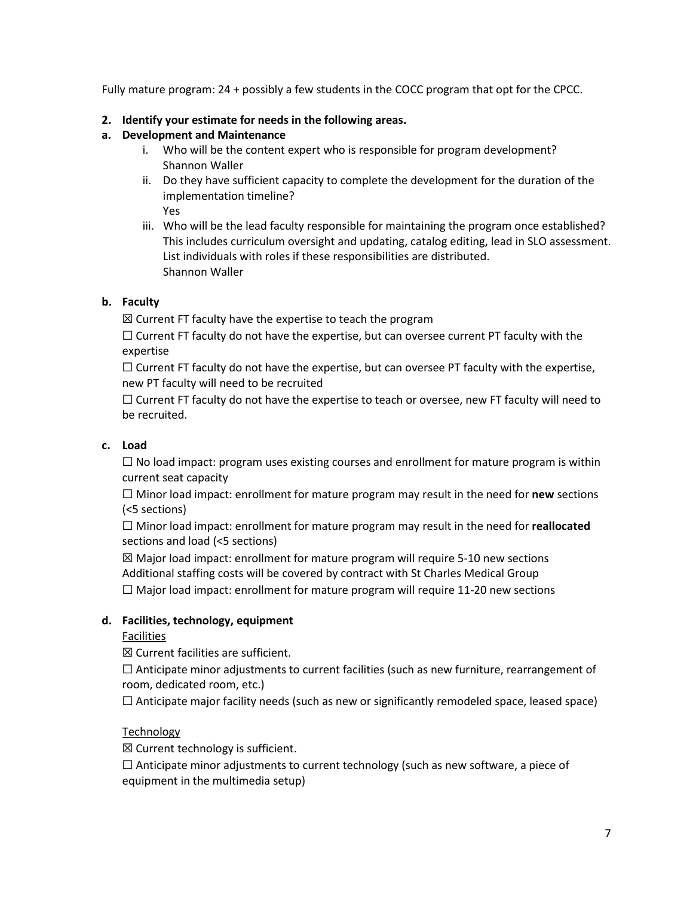Fully mature program: 24 + possibly a few students in the COCC program that opt for the CPCC.

#### **2. Identify your estimate for needs in the following areas.**

#### **a. Development and Maintenance**

- i. Who will be the content expert who is responsible for program development? Shannon Waller
- ii. Do they have sufficient capacity to complete the development for the duration of the implementation timeline? Yes
- iii. Who will be the lead faculty responsible for maintaining the program once established? This includes curriculum oversight and updating, catalog editing, lead in SLO assessment. List individuals with roles if these responsibilities are distributed. Shannon Waller

#### **b. Faculty**

 $\boxtimes$  Current FT faculty have the expertise to teach the program

☐ Current FT faculty do not have the expertise, but can oversee current PT faculty with the expertise

 $\Box$  Current FT faculty do not have the expertise, but can oversee PT faculty with the expertise, new PT faculty will need to be recruited

 $\Box$  Current FT faculty do not have the expertise to teach or oversee, new FT faculty will need to be recruited.

#### **c. Load**

 $\Box$  No load impact: program uses existing courses and enrollment for mature program is within current seat capacity

☐ Minor load impact: enrollment for mature program may result in the need for **new** sections (<5 sections)

☐ Minor load impact: enrollment for mature program may result in the need for **reallocated** sections and load (<5 sections)

 $\boxtimes$  Major load impact: enrollment for mature program will require 5-10 new sections Additional staffing costs will be covered by contract with St Charles Medical Group  $\Box$  Major load impact: enrollment for mature program will require 11-20 new sections

#### **d. Facilities, technology, equipment**

#### Facilities

☒ Current facilities are sufficient.

 $\Box$  Anticipate minor adjustments to current facilities (such as new furniture, rearrangement of room, dedicated room, etc.)

 $\Box$  Anticipate major facility needs (such as new or significantly remodeled space, leased space)

#### Technology

 $\boxtimes$  Current technology is sufficient.

 $\Box$  Anticipate minor adjustments to current technology (such as new software, a piece of equipment in the multimedia setup)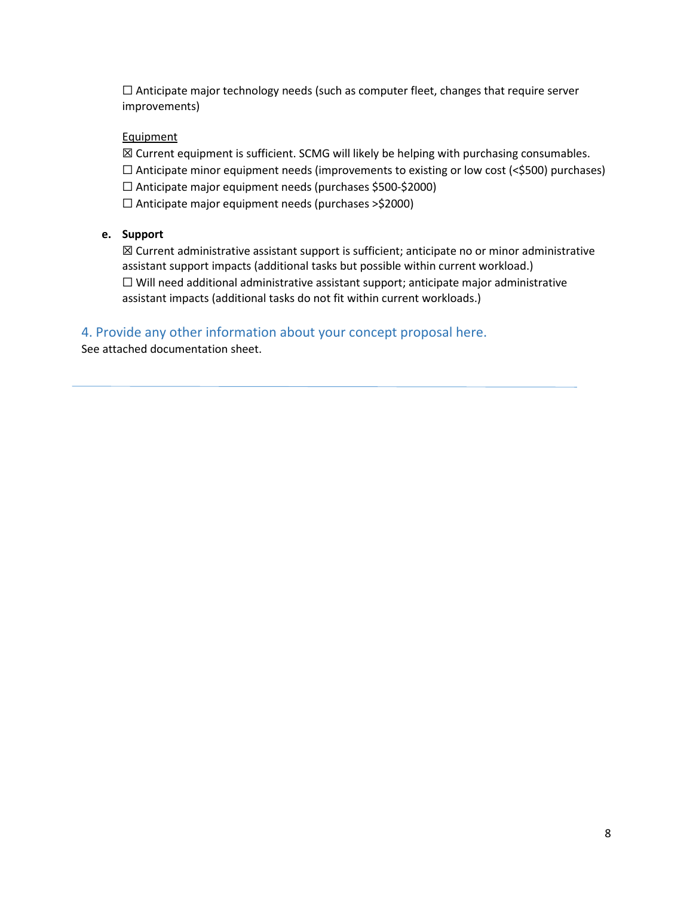$\Box$  Anticipate major technology needs (such as computer fleet, changes that require server improvements)

#### Equipment

☒ Current equipment is sufficient. SCMG will likely be helping with purchasing consumables.

- ☐ Anticipate minor equipment needs (improvements to existing or low cost (<\$500) purchases)
- ☐ Anticipate major equipment needs (purchases \$500-\$2000)
- $\Box$  Anticipate major equipment needs (purchases >\$2000)

#### **e. Support**

 $\boxtimes$  Current administrative assistant support is sufficient; anticipate no or minor administrative assistant support impacts (additional tasks but possible within current workload.)  $\Box$  Will need additional administrative assistant support; anticipate major administrative assistant impacts (additional tasks do not fit within current workloads.)

#### 4. Provide any other information about your concept proposal here.

See attached documentation sheet.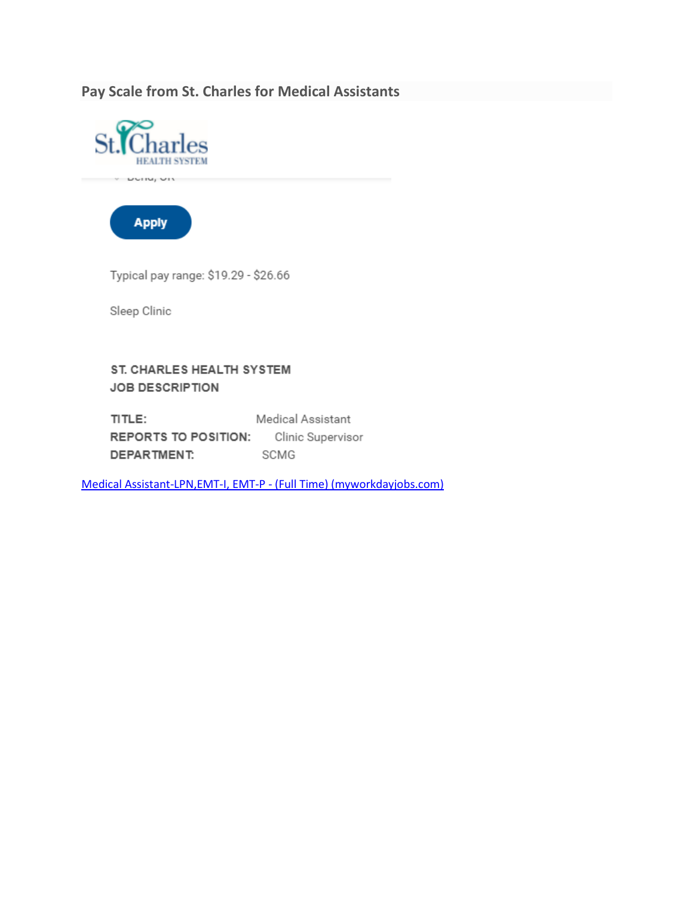### **Pay Scale from St. Charles for Medical Assistants**





Typical pay range: \$19.29 - \$26.66

Sleep Clinic

ST. CHARLES HEALTH SYSTEM **JOB DESCRIPTION** 

Medical Assistant TITLE: **REPORTS TO POSITION:** Clinic Supervisor DEPARTMENT: SCMG

[Medical Assistant-LPN,EMT-I, EMT-P -](https://stcharles.wd1.myworkdayjobs.com/en-US/External/job/Bend-OR/Medical-Assistant-LPN-EMT-I--EMT-P----Full-Time-_R1009493) (Full Time) (myworkdayjobs.com)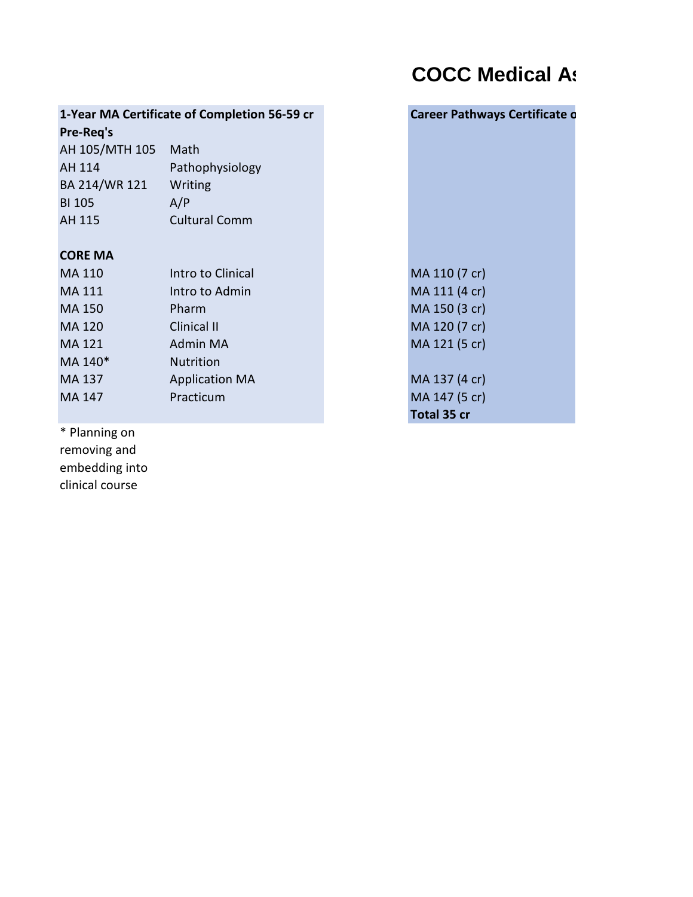## **COCC Medical As**

|                      | 1-Year MA Certificate of Completion 56-59 cr | <b>Career Pathways Certificate o</b> |
|----------------------|----------------------------------------------|--------------------------------------|
| Pre-Req's            |                                              |                                      |
| AH 105/MTH 105       | Math                                         |                                      |
| AH 114               | Pathophysiology                              |                                      |
| BA 214/WR 121        | Writing                                      |                                      |
| <b>BI 105</b>        | A/P                                          |                                      |
| AH 115               | <b>Cultural Comm</b>                         |                                      |
|                      |                                              |                                      |
| <b>CORE MA</b>       |                                              |                                      |
| MA 110               | Intro to Clinical                            | MA 110 (7 cr)                        |
| MA 111               | Intro to Admin                               | MA 111 (4 cr)                        |
| <b>MA 150</b>        | Pharm                                        | MA 150 (3 cr)                        |
| <b>MA 120</b>        | Clinical II                                  | MA 120 (7 cr)                        |
| MA 121               | Admin MA                                     | MA 121 (5 cr)                        |
| MA 140*              | <b>Nutrition</b>                             |                                      |
| MA 137               | <b>Application MA</b>                        | MA 137 (4 cr)                        |
| MA 147               | Practicum                                    | MA 147 (5 cr)                        |
|                      |                                              | Total 35 cr                          |
| $\sim$ $\sim$ $\sim$ |                                              |                                      |

\* Planning on removing and embedding into clinical course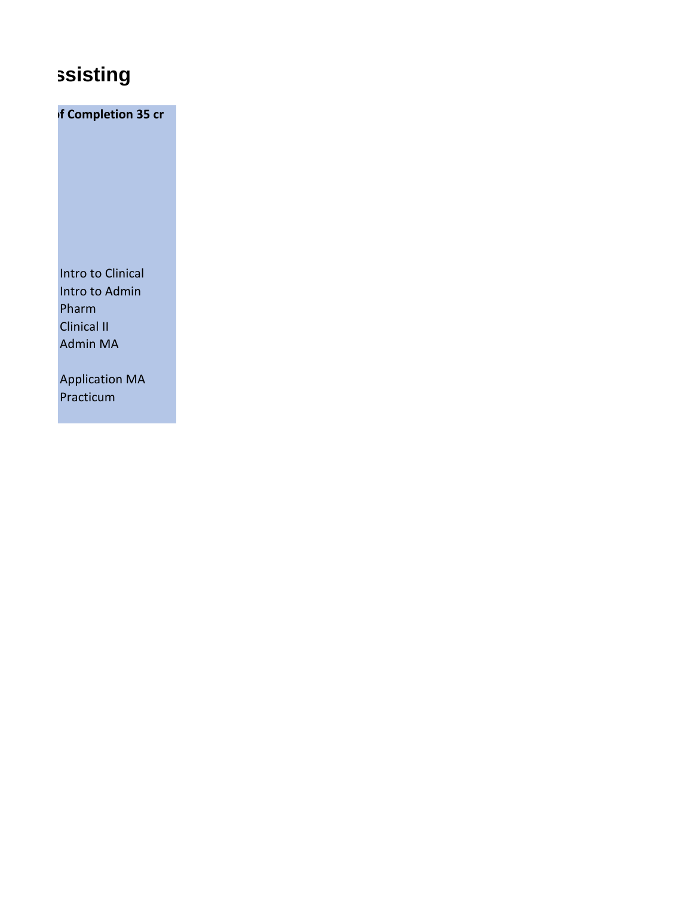## **ssisting**

 **of Completion 35 cr**

Intro to Clinical Intro to Admin Pharm Clinical II Admin MA

Application MA Practicum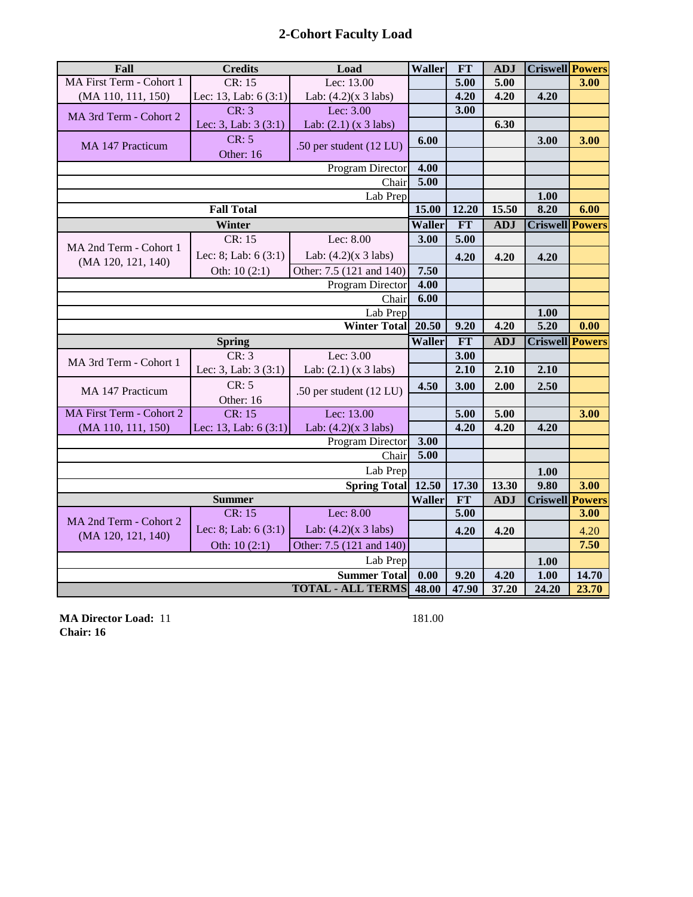## **2-Cohort Faculty Load**

| Fall                                         | <b>Credits</b>         | Load                             | <b>Waller</b> | <b>FT</b> | <b>ADJ</b> | <b>Criswell Powers</b> |               |      |
|----------------------------------------------|------------------------|----------------------------------|---------------|-----------|------------|------------------------|---------------|------|
| MA First Term - Cohort 1                     | CR: 15                 | Lec: 13.00                       |               | 5.00      | 5.00       |                        | 3.00          |      |
| (MA 110, 111, 150)                           | Lec: 13, Lab: 6 (3:1)  | Lab: $(4.2)(x_3$ labs)           |               | 4.20      | 4.20       | 4.20                   |               |      |
|                                              | CR: 3                  | Lec: 3.00                        |               | 3.00      |            |                        |               |      |
| MA 3rd Term - Cohort 2                       | Lec: 3, Lab: 3 (3:1)   | Lab: $(2.1)$ (x 3 labs)          |               |           | 6.30       |                        |               |      |
| MA 147 Practicum                             | CR: 5                  |                                  |               | 6.00      |            |                        | 3.00          | 3.00 |
|                                              | Other: 16              | .50 per student (12 LU)          |               |           |            |                        |               |      |
|                                              |                        | Program Director                 | 4.00          |           |            |                        |               |      |
|                                              |                        | Chair                            | 5.00          |           |            |                        |               |      |
|                                              |                        | Lab Prep                         |               |           |            | 1.00                   |               |      |
|                                              | <b>Fall Total</b>      |                                  | 15.00         | 12.20     | 15.50      | 8.20                   | 6.00          |      |
|                                              | Winter                 |                                  | <b>Waller</b> | FT        | <b>ADJ</b> | <b>Criswell Powers</b> |               |      |
|                                              | CR: 15                 | Lec: 8.00                        | 3.00          | 5.00      |            |                        |               |      |
| MA 2nd Term - Cohort 1<br>(MA 120, 121, 140) | Lec: 8; Lab: $6(3:1)$  | Lab: $(4.2)(x \ 3 \text{ labs})$ |               | 4.20      | 4.20       | 4.20                   |               |      |
|                                              | Oth: $10(2:1)$         | Other: 7.5 (121 and 140)         | 7.50          |           |            |                        |               |      |
|                                              |                        | Program Director                 | 4.00          |           |            |                        |               |      |
|                                              |                        | Chair                            | 6.00          |           |            |                        |               |      |
|                                              | Lab Prep               |                                  |               |           |            | 1.00                   |               |      |
| <b>Winter Total</b>                          |                        |                                  |               | 9.20      | 4.20       | 5.20                   | 0.00          |      |
| <b>Spring</b>                                |                        |                                  | <b>Waller</b> | FT        | <b>ADJ</b> | <b>Criswell Powers</b> |               |      |
| MA 3rd Term - Cohort 1                       | CR: 3                  | Lec: 3.00                        |               | 3.00      |            |                        |               |      |
|                                              | Lec: 3, Lab: 3 (3:1)   | Lab: $(2.1)$ (x 3 labs)          |               | 2.10      | 2.10       | 2.10                   |               |      |
| MA 147 Practicum                             | CR: 5                  | .50 per student (12 LU)          | 4.50          | 3.00      | 2.00       | 2.50                   |               |      |
|                                              | Other: 16              |                                  |               |           |            |                        |               |      |
| <b>MA First Term - Cohort 2</b>              | CR: 15                 | Lec: 13.00                       |               | 5.00      | 5.00       |                        | 3.00          |      |
| (MA 110, 111, 150)                           | Lec: 13, Lab: $6(3:1)$ | Lab: $(4.2)(x 3$ labs)           |               | 4.20      | 4.20       | 4.20                   |               |      |
|                                              |                        | Program Director                 | 3.00<br>5.00  |           |            |                        |               |      |
| Chair                                        |                        |                                  |               |           |            |                        |               |      |
| Lab Prep                                     |                        |                                  |               |           |            | 1.00                   |               |      |
| <b>Spring Total</b>                          |                        |                                  |               | 17.30     | 13.30      | 9.80                   | 3.00          |      |
| <b>Summer</b>                                |                        |                                  | <b>Waller</b> | <b>FT</b> | <b>ADJ</b> | <b>Criswell</b>        | <b>Powers</b> |      |
| MA 2nd Term - Cohort 2                       | CR: 15                 | Lec: 8.00                        |               | 5.00      |            |                        | 3.00          |      |
| (MA 120, 121, 140)                           | Lec: 8; Lab: $6(3:1)$  | Lab: $(4.2)(x \ 3 \text{ labs})$ |               | 4.20      | 4.20       |                        | 4.20          |      |
|                                              | Oth: $10(2:1)$         | Other: 7.5 (121 and 140)         |               |           |            |                        | 7.50          |      |
|                                              | Lab Prep               |                                  |               |           |            | 1.00                   |               |      |
| <b>Summer Total</b>                          |                        |                                  | 0.00          | 9.20      | 4.20       | 1.00                   | 14.70         |      |
| <b>TOTAL - ALL TERMS</b>                     |                        |                                  | 48.00         | 47.90     | 37.20      | 24.20                  | 23.70         |      |

**MA Director Load:** 11 181.00 **Chair: 16**